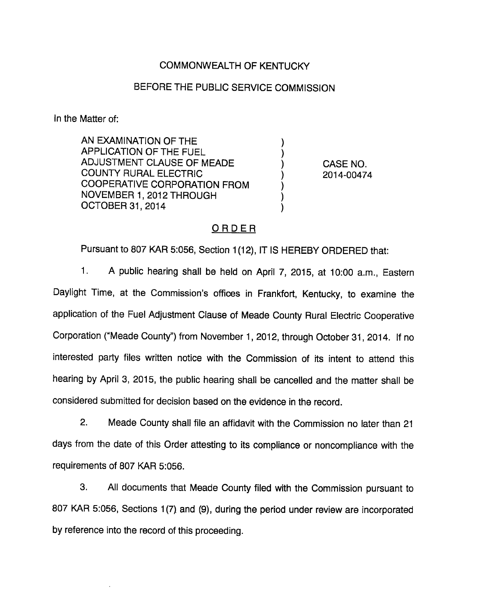### COMMONWEALTH OF KENTUCKY

#### BEFORE THE PUBLIC SERVICE COMMISSION

In the Matter of:

AN EXAMINATION OF THE APPLICATION OF THE FUEL ADJUSTMENT CLAUSE OF MEADE ) CASE NO. COUNTY RURAL ELECTRIC ) 2014-00474 COOPERATIVE CORPORATION FROM NOVEMBER 1, 2012 THROUGH OCTOBER 31, 2014

## ORDER

Pursuant to 807 KAR 5:056, Section 1(12), IT IS HEREBY ORDERED that:

1. A public hearing shall be held on April 7, 2015, at 10:00 a.m.. Eastern Daylight Time, at the Commission's offices in Frankfort, Kentucky, to examine the application of the Fuel Adjustment Clause of Meade County Rural Electric Cooperative Corporation ("Meade County") from November 1, 2012, through October 31, 2014. If no interested party files written notice with the Commission of its intent to attend this hearing by April 3, 2015, the public hearing shall be cancelled and the matter shall be considered submitted for decision based on the evidence in the record.

2. Meade County shall file an affidavit with the Commission no later than 21 days from the date of this Order attesting to its compliance or noncompliance with the requirements of 807 KAR 5:056.

3. All documents that Meade County filed with the Commission pursuant to 807 KAR 5:056, Sections 1(7) and (9), during the period under review are incorporated by reference into the record of this proceeding.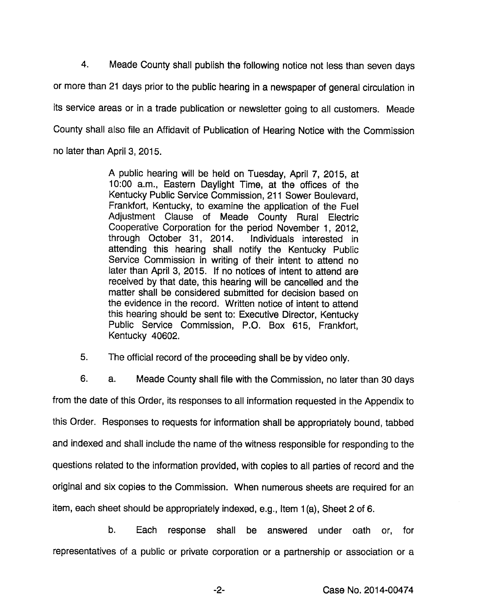4. Meade County shall publish the following notice not less than seven days or more than 21 days prior to the public hearing in a newspaper of general circulation in its service areas or in a trade publication or newsletter going to all customers. Meade County shall also file an Affidavit of Publication of Hearing Notice with the Commission no later than April 3, 2015.

> A public hearing will be held on Tuesday, April 7, 2015, at 10:00 a.m.. Eastern Daylight Time, at the offices of the Kentucky Public Service Commission, 211 Sower Boulevard, Frankfort, Kentucky, to examine the application of the Fuel Adjustment Clause of Meade County Rural Electric Cooperative Corporation for the period November 1, 2012, through October 31, 2014. Individuals interested in attending this hearing shall notify the Kentucky Public Service Commission in writing of their intent to attend no later than April 3, 2015. If no notices of intent to attend are received by that date, this hearing will be cancelled and the matter shall be considered submitted for decision based on the evidence in the record. Written notice of intent to attend this hearing should be sent to: Executive Director, Kentucky Public Service Commission, P.O. Box 615, Frankfort, Kentucky 40602.

5. The official record of the proceeding shall be by video only.

6. a. Meade County shall file with the Commission, no later than 30 days from the date of this Order, its responses to all information requested in the Appendix to this Order. Responses to requests for information shall be appropriately bound, tabbed and indexed and shall include the name of the witness responsible for responding to the questions related to the information provided, with copies to all parties of record and the original and six copies to the Commission. When numerous sheets are required for an item, each sheet should be appropriately indexed, e.g.. Item 1(a). Sheet 2 of 6.

b. Each response shall be answered under oath or, for representatives of a public or private corporation or a partnership or association or a

-2- Case No. 2014-00474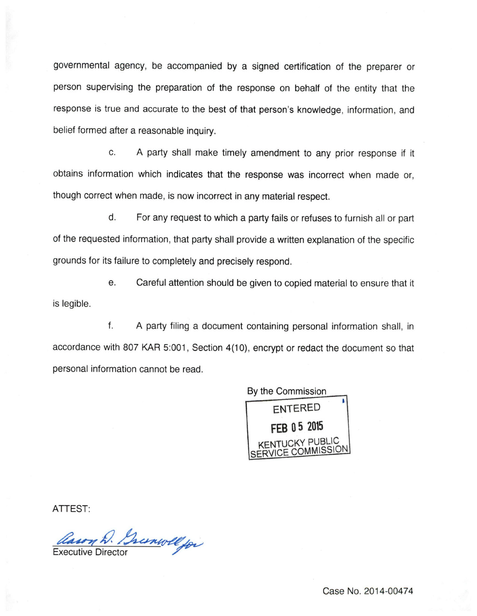governmental agency, be accompanied by a signed certification of the preparer or person supervising the preparation of the response on behalf of the entity that the response is true and accurate to the best of that person's knowledge, information, and belief formed after a reasonable inquiry.

c. A party shall make timely amendment to any prior response if it obtains information which indicates that the response was incorrect when made or, though correct when made, is now incorrect in any material respect.

d. For any request to which a party fails or refuses to furnish all or part of the requested information, that party shall provide a written explanation of the specific grounds for its failure to completely and precisely respond.

e. Careful attention should be given to copied material to ensure that it is legible.

f. A party filing a document containing personal information shall, in accordance with 807 KAR 5:001, Section 4(10), encrypt or redact the document so that personal information cannot be read.



ATTEST:

Cason D. Granwell for

Case No. 2014-00474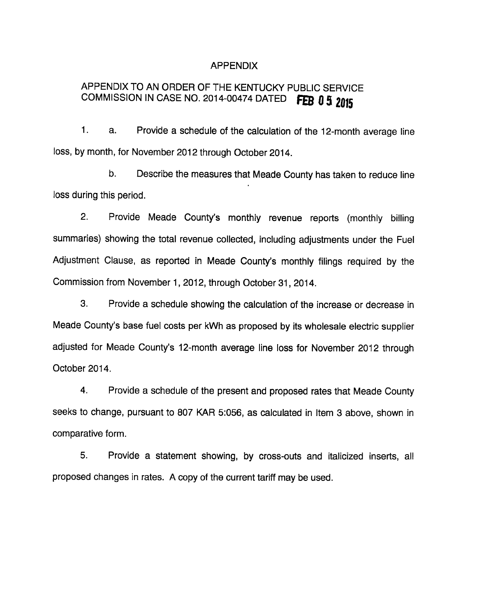#### **APPENDIX**

# APPENDIX TO AN ORDER OF THE KENTUCKY PUBLIC SERVICE COMMISSION IN CASE NO. 2014-00474 DATED FEB  $0.5$  2015

1. a. Provide a schedule of the calculation of the 12-month average line loss, by month, for November 2012 through October 2014.

b. Describe the measures that Meade County has taken to reduce line loss during this period.

2. Provide Meade County's monthly revenue reports (monthly billing summaries) showing the total revenue collected, including adjustments under the Fuel Adjustment Clause, as reported in Meade County's monthly filings required by the Commission from November 1, 2012, through October 31, 2014.

3. Provide a schedule showing the calculation of the increase or decrease in Meade County's base fuel costs per kWh as proposed by its wholesale electric supplier adjusted for Meade County's 12-month average line loss for November 2012 through October 2014.

4. Provide a schedule of the present and proposed rates that Meade County seeks to change, pursuant to 807 KAR 5:056, as calculated in Item 3 above, shown in comparative form.

5. Provide a statement showing, by cross-outs and italicized inserts, all proposed changes in rates. A copy of the current tariff may be used.